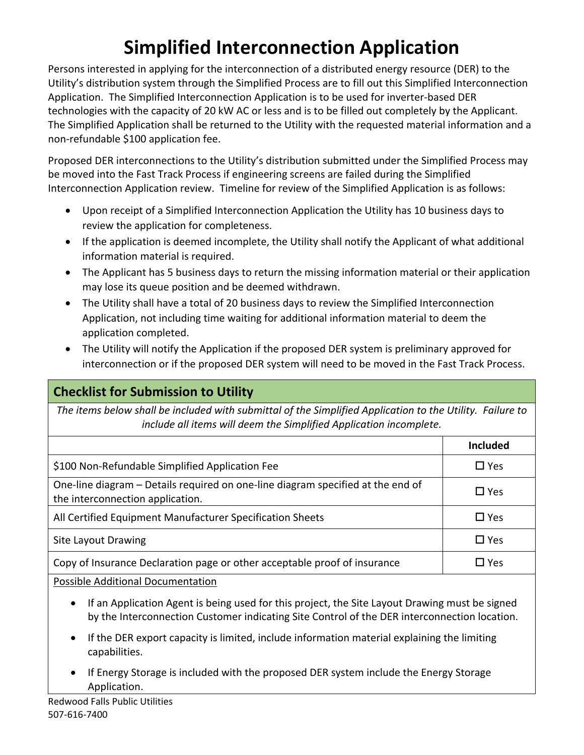# **Simplified Interconnection Application**

Persons interested in applying for the interconnection of a distributed energy resource (DER) to the Utility's distribution system through the Simplified Process are to fill out this Simplified Interconnection Application. The Simplified Interconnection Application is to be used for inverter‐based DER technologies with the capacity of 20 kW AC or less and is to be filled out completely by the Applicant. The Simplified Application shall be returned to the Utility with the requested material information and a non‐refundable \$100 application fee.

Proposed DER interconnections to the Utility's distribution submitted under the Simplified Process may be moved into the Fast Track Process if engineering screens are failed during the Simplified Interconnection Application review. Timeline for review of the Simplified Application is as follows:

- Upon receipt of a Simplified Interconnection Application the Utility has 10 business days to review the application for completeness.
- If the application is deemed incomplete, the Utility shall notify the Applicant of what additional information material is required.
- The Applicant has 5 business days to return the missing information material or their application may lose its queue position and be deemed withdrawn.
- The Utility shall have a total of 20 business days to review the Simplified Interconnection Application, not including time waiting for additional information material to deem the application completed.
- The Utility will notify the Application if the proposed DER system is preliminary approved for interconnection or if the proposed DER system will need to be moved in the Fast Track Process.

### **Checklist for Submission to Utility**

*The items below shall be included with submittal of the Simplified Application to the Utility. Failure to include all items will deem the Simplified Application incomplete.*

|                                                                                                                     | <b>Included</b> |
|---------------------------------------------------------------------------------------------------------------------|-----------------|
| \$100 Non-Refundable Simplified Application Fee                                                                     | $\square$ Yes   |
| One-line diagram – Details required on one-line diagram specified at the end of<br>the interconnection application. | $\Box$ Yes      |
| All Certified Equipment Manufacturer Specification Sheets                                                           | $\square$ Yes   |
| <b>Site Layout Drawing</b>                                                                                          | $\Box$ Yes      |
| Copy of Insurance Declaration page or other acceptable proof of insurance                                           | □ Yes           |

Possible Additional Documentation

- If an Application Agent is being used for this project, the Site Layout Drawing must be signed by the Interconnection Customer indicating Site Control of the DER interconnection location.
- If the DER export capacity is limited, include information material explaining the limiting capabilities.
- If Energy Storage is included with the proposed DER system include the Energy Storage Application.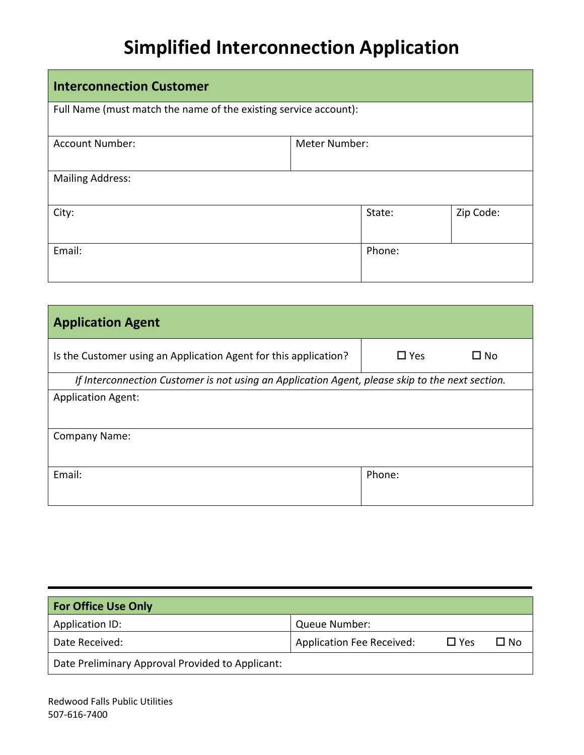## **Simplified Interconnection Application**

| <b>Interconnection Customer</b>                                  |               |        |           |  |
|------------------------------------------------------------------|---------------|--------|-----------|--|
| Full Name (must match the name of the existing service account): |               |        |           |  |
| <b>Account Number:</b>                                           | Meter Number: |        |           |  |
| <b>Mailing Address:</b>                                          |               |        |           |  |
| City:                                                            |               | State: | Zip Code: |  |
| Email:                                                           |               | Phone: |           |  |

| <b>Application Agent</b>                                                                        |                               |  |  |  |  |
|-------------------------------------------------------------------------------------------------|-------------------------------|--|--|--|--|
| Is the Customer using an Application Agent for this application?                                | $\square$ Yes<br>$\square$ No |  |  |  |  |
| If Interconnection Customer is not using an Application Agent, please skip to the next section. |                               |  |  |  |  |
| <b>Application Agent:</b>                                                                       |                               |  |  |  |  |
|                                                                                                 |                               |  |  |  |  |
| <b>Company Name:</b>                                                                            |                               |  |  |  |  |
|                                                                                                 |                               |  |  |  |  |
| Email:                                                                                          | Phone:                        |  |  |  |  |
|                                                                                                 |                               |  |  |  |  |

| <b>For Office Use Only</b>                       |                                  |            |      |
|--------------------------------------------------|----------------------------------|------------|------|
| Application ID:                                  | Queue Number:                    |            |      |
| Date Received:                                   | <b>Application Fee Received:</b> | $\Box$ Yes | ∐ No |
| Date Preliminary Approval Provided to Applicant: |                                  |            |      |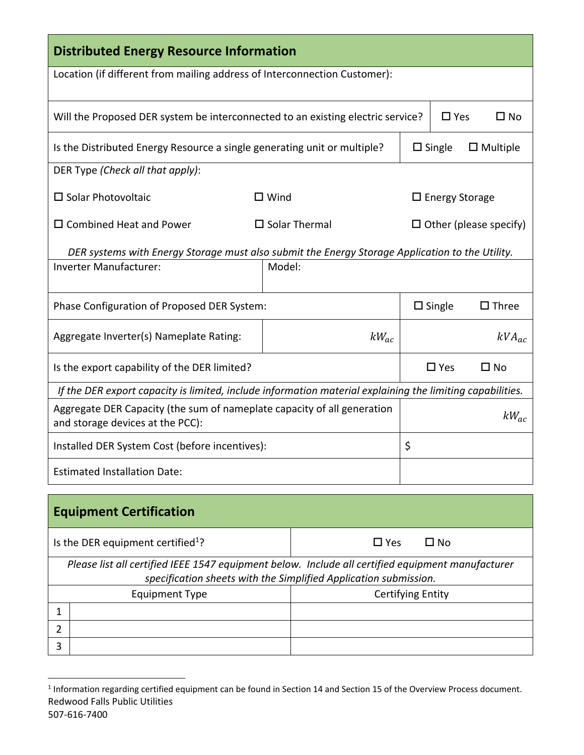| <b>Distributed Energy Resource Information</b>                                                                                                                        |             |                         |               |                          |                  |                               |
|-----------------------------------------------------------------------------------------------------------------------------------------------------------------------|-------------|-------------------------|---------------|--------------------------|------------------|-------------------------------|
| Location (if different from mailing address of Interconnection Customer):                                                                                             |             |                         |               |                          |                  |                               |
| Will the Proposed DER system be interconnected to an existing electric service?                                                                                       |             |                         |               |                          | $\square$ Yes    | $\square$ No                  |
| Is the Distributed Energy Resource a single generating unit or multiple?                                                                                              |             |                         |               |                          | $\square$ Single | $\Box$ Multiple               |
| DER Type (Check all that apply):                                                                                                                                      |             |                         |               |                          |                  |                               |
| $\square$ Solar Photovoltaic                                                                                                                                          | $\Box$ Wind |                         |               | $\square$ Energy Storage |                  |                               |
| $\square$ Combined Heat and Power                                                                                                                                     |             | $\square$ Solar Thermal |               |                          |                  | $\Box$ Other (please specify) |
| DER systems with Energy Storage must also submit the Energy Storage Application to the Utility.                                                                       |             |                         |               |                          |                  |                               |
| <b>Inverter Manufacturer:</b>                                                                                                                                         | Model:      |                         |               |                          |                  |                               |
| Phase Configuration of Proposed DER System:                                                                                                                           |             |                         |               | $\Box$ Single            | $\square$ Three  |                               |
| Aggregate Inverter(s) Nameplate Rating:                                                                                                                               |             |                         | $kW_{ac}$     |                          |                  | $kVA_{ac}$                    |
| Is the export capability of the DER limited?                                                                                                                          |             |                         |               |                          | $\square$ Yes    | $\square$ No                  |
| If the DER export capacity is limited, include information material explaining the limiting capabilities.                                                             |             |                         |               |                          |                  |                               |
| Aggregate DER Capacity (the sum of nameplate capacity of all generation<br>and storage devices at the PCC):                                                           |             |                         |               |                          | $kW_{ac}$        |                               |
| Installed DER System Cost (before incentives):                                                                                                                        |             |                         | \$            |                          |                  |                               |
| <b>Estimated Installation Date:</b>                                                                                                                                   |             |                         |               |                          |                  |                               |
| <b>Equipment Certification</b>                                                                                                                                        |             |                         |               |                          |                  |                               |
| Is the DER equipment certified <sup>1</sup> ?                                                                                                                         |             |                         | $\square$ Yes |                          | $\square$ No     |                               |
| Please list all certified IEEE 1547 equipment below. Include all certified equipment manufacturer<br>specification sheets with the Simplified Application submission. |             |                         |               |                          |                  |                               |
|                                                                                                                                                                       |             |                         |               |                          |                  |                               |

| specification sheets with the simplified ripplication sabilitished. |  |                          |  |  |
|---------------------------------------------------------------------|--|--------------------------|--|--|
| <b>Equipment Type</b>                                               |  | <b>Certifying Entity</b> |  |  |
|                                                                     |  |                          |  |  |
|                                                                     |  |                          |  |  |
|                                                                     |  |                          |  |  |

Redwood Falls Public Utilities 507‐616‐7400 1 Information regarding certified equipment can be found in Section 14 and Section 15 of the Overview Process document.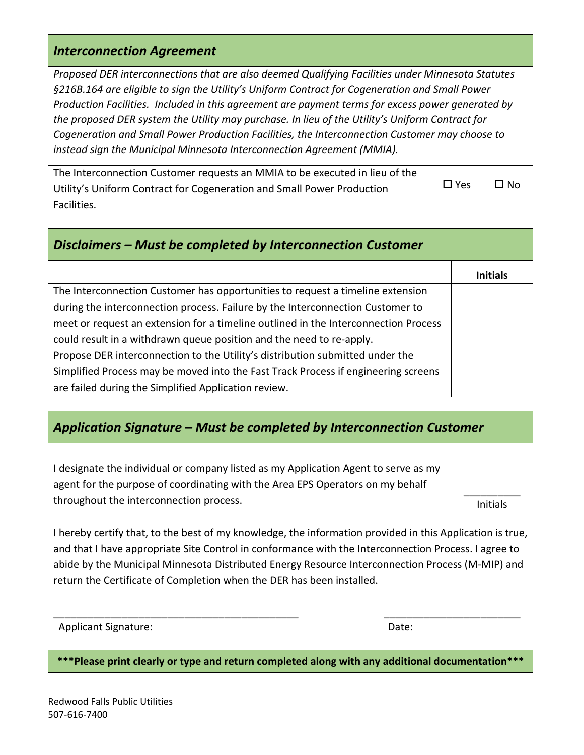#### *Interconnection Agreement*

*Proposed DER interconnections that are also deemed Qualifying Facilities under Minnesota Statutes §216B.164 are eligible to sign the Utility's Uniform Contract for Cogeneration and Small Power Production Facilities. Included in this agreement are payment terms for excess power generated by the proposed DER system the Utility may purchase. In lieu of the Utility's Uniform Contract for Cogeneration and Small Power Production Facilities, the Interconnection Customer may choose to instead sign the Municipal Minnesota Interconnection Agreement (MMIA).* 

| The Interconnection Customer requests an MMIA to be executed in lieu of the |            |           |
|-----------------------------------------------------------------------------|------------|-----------|
| Utility's Uniform Contract for Cogeneration and Small Power Production      | $\Box$ Yes | $\Box$ No |
| Facilities.                                                                 |            |           |

| Disclaimers – Must be completed by Interconnection Customer                         |                 |  |  |  |
|-------------------------------------------------------------------------------------|-----------------|--|--|--|
|                                                                                     | <b>Initials</b> |  |  |  |
| The Interconnection Customer has opportunities to request a timeline extension      |                 |  |  |  |
| during the interconnection process. Failure by the Interconnection Customer to      |                 |  |  |  |
| meet or request an extension for a timeline outlined in the Interconnection Process |                 |  |  |  |
| could result in a withdrawn queue position and the need to re-apply.                |                 |  |  |  |
| Propose DER interconnection to the Utility's distribution submitted under the       |                 |  |  |  |
| Simplified Process may be moved into the Fast Track Process if engineering screens  |                 |  |  |  |
| are failed during the Simplified Application review.                                |                 |  |  |  |

### *Application Signature – Must be completed by Interconnection Customer*

I designate the individual or company listed as my Application Agent to serve as my agent for the purpose of coordinating with the Area EPS Operators on my behalf throughout the interconnection process.

Initials

I hereby certify that, to the best of my knowledge, the information provided in this Application is true, and that I have appropriate Site Control in conformance with the Interconnection Process. I agree to abide by the Municipal Minnesota Distributed Energy Resource Interconnection Process (M‐MIP) and return the Certificate of Completion when the DER has been installed.

Applicant Signature: **Base of the Second Signature**: **Contract Signature** of the Second State State State State State State State State State State State State State State State State State State State State State State St

**\*\*\*Please print clearly or type and return completed along with any additional documentation\*\*\*** 

\_\_\_\_\_\_\_\_\_\_\_\_\_\_\_\_\_\_\_\_\_\_\_\_\_\_\_\_\_\_\_\_\_\_\_\_\_\_\_\_\_\_\_ \_\_\_\_\_\_\_\_\_\_\_\_\_\_\_\_\_\_\_\_\_\_\_\_